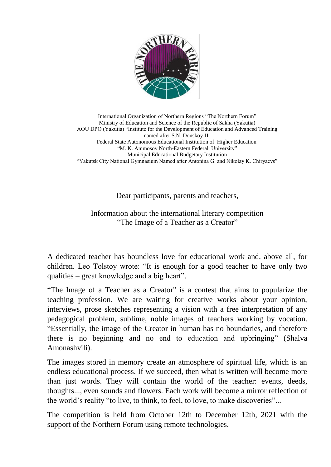

International Organization of Northern Regions "The Northern Forum" Ministry of Education and Science of the Republic of Sakha (Yakutia) AOU DPO (Yakutia) "Institute for the Development of Education and Advanced Training named after S.N. Donskoy-II" Federal State Autonomous Educational Institution of Higher Education "M. K. Ammosov North-Eastern Federal University" Municipal Educational Budgetary Institution "Yakutsk City National Gymnasium Named after Antonina G. and Nikolay K. Chiryaevs"

Dear participants, parents and teachers,

Information about the international literary competition "The Image of a Teacher as a Creator"

A dedicated teacher has boundless love for educational work and, above all, for children. Leo Tolstoy wrote: "It is enough for a good teacher to have only two qualities – great knowledge and a big heart".

"The Image of a Teacher as a Creator" is a contest that aims to popularize the teaching profession. We are waiting for creative works about your opinion, interviews, prose sketches representing a vision with a free interpretation of any pedagogical problem, sublime, noble images of teachers working by vocation. "Essentially, the image of the Creator in human has no boundaries, and therefore there is no beginning and no end to education and upbringing" (Shalva Amonashvili).

The images stored in memory create an atmosphere of spiritual life, which is an endless educational process. If we succeed, then what is written will become more than just words. They will contain the world of the teacher: events, deeds, thoughts..., even sounds and flowers. Each work will become a mirror reflection of the world's reality "to live, to think, to feel, to love, to make discoveries"...

The competition is held from October 12th to December 12th, 2021 with the support of the Northern Forum using remote technologies.